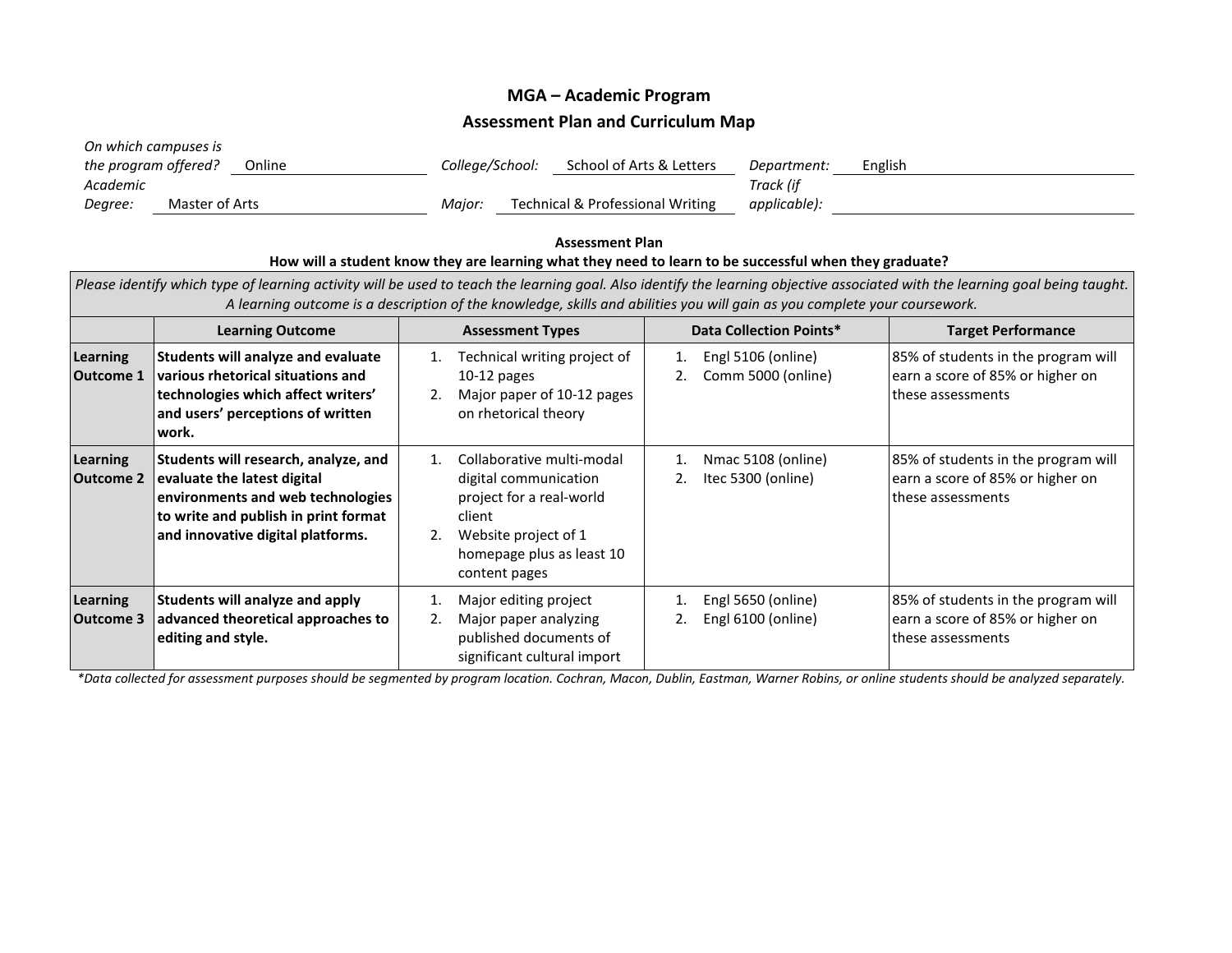## **MGA – Academic Program Assessment Plan and Curriculum Map**

| On which campuses is<br>the program offered? | Online         | College/School:                            | School of Arts & Letters | Department:  | English |
|----------------------------------------------|----------------|--------------------------------------------|--------------------------|--------------|---------|
|                                              |                |                                            |                          |              |         |
| Academic                                     |                |                                            |                          | Track (if    |         |
| Degree:                                      | Master of Arts | Technical & Professional Writing<br>Maior: |                          | applicable): |         |

## **Assessment Plan How will a student know they are learning what they need to learn to be successful when they graduate?**

| Please identify which type of learning activity will be used to teach the learning goal. Also identify the learning objective associated with the learning goal being taught.<br>A learning outcome is a description of the knowledge, skills and abilities you will gain as you complete your coursework. |                                                                                                                                                                                       |                                                                                                                                                                                 |                                                |                                                                                              |  |  |  |  |
|------------------------------------------------------------------------------------------------------------------------------------------------------------------------------------------------------------------------------------------------------------------------------------------------------------|---------------------------------------------------------------------------------------------------------------------------------------------------------------------------------------|---------------------------------------------------------------------------------------------------------------------------------------------------------------------------------|------------------------------------------------|----------------------------------------------------------------------------------------------|--|--|--|--|
|                                                                                                                                                                                                                                                                                                            | <b>Learning Outcome</b>                                                                                                                                                               | <b>Assessment Types</b>                                                                                                                                                         | Data Collection Points*                        | <b>Target Performance</b>                                                                    |  |  |  |  |
| <b>Learning</b><br><b>Outcome 1</b>                                                                                                                                                                                                                                                                        | Students will analyze and evaluate<br>various rhetorical situations and<br>technologies which affect writers'<br>and users' perceptions of written<br>work.                           | Technical writing project of<br>1.<br>$10-12$ pages<br>Major paper of 10-12 pages<br>on rhetorical theory                                                                       | Engl 5106 (online)<br>1.<br>Comm 5000 (online) | 85% of students in the program will<br>earn a score of 85% or higher on<br>these assessments |  |  |  |  |
| Learning<br><b>Outcome 2</b>                                                                                                                                                                                                                                                                               | Students will research, analyze, and<br>evaluate the latest digital<br>environments and web technologies<br>to write and publish in print format<br>and innovative digital platforms. | Collaborative multi-modal<br>$1_{-}$<br>digital communication<br>project for a real-world<br>client<br>Website project of 1<br>2.<br>homepage plus as least 10<br>content pages | Nmac 5108 (online)<br>1.<br>Itec 5300 (online) | 85% of students in the program will<br>earn a score of 85% or higher on<br>these assessments |  |  |  |  |
| <b>Learning</b><br>Outcome 3                                                                                                                                                                                                                                                                               | Students will analyze and apply<br>advanced theoretical approaches to<br>editing and style.                                                                                           | Major editing project<br>Major paper analyzing<br>published documents of<br>significant cultural import                                                                         | Engl 5650 (online)<br>Engl 6100 (online)       | 85% of students in the program will<br>earn a score of 85% or higher on<br>these assessments |  |  |  |  |

*\*Data collected for assessment purposes should be segmented by program location. Cochran, Macon, Dublin, Eastman, Warner Robins, or online students should be analyzed separately.*